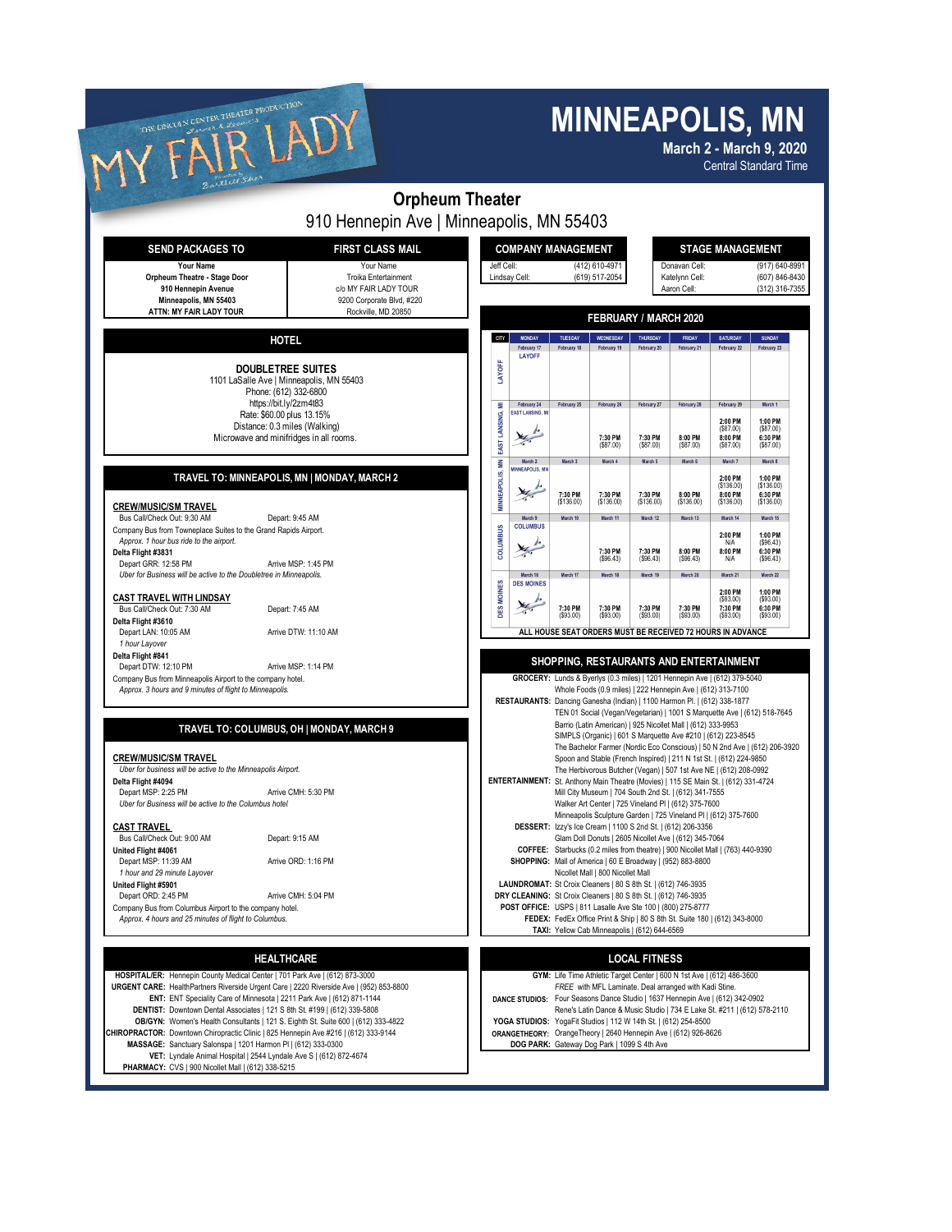## **MINNEAPOLIS, MN**

| THE LINCOLN CENTER THEATER PRODUCTION                                                                                                                                                                                                                                                                                                                                                                                      |                                                                                         |                                         |                                                                                                                                                                                                                                                                                                                                                                                                                                                                                                                                                                |                                                                                                                                                       |                                                                                                                                                                                                                                                                                                                                                                      |                                                        |                                                | <b>MINNEAPOLIS, MN</b><br><b>March 2 - March 9, 2020</b><br><b>Central Standard Time</b>                                                |                                                             |  |
|----------------------------------------------------------------------------------------------------------------------------------------------------------------------------------------------------------------------------------------------------------------------------------------------------------------------------------------------------------------------------------------------------------------------------|-----------------------------------------------------------------------------------------|-----------------------------------------|----------------------------------------------------------------------------------------------------------------------------------------------------------------------------------------------------------------------------------------------------------------------------------------------------------------------------------------------------------------------------------------------------------------------------------------------------------------------------------------------------------------------------------------------------------------|-------------------------------------------------------------------------------------------------------------------------------------------------------|----------------------------------------------------------------------------------------------------------------------------------------------------------------------------------------------------------------------------------------------------------------------------------------------------------------------------------------------------------------------|--------------------------------------------------------|------------------------------------------------|-----------------------------------------------------------------------------------------------------------------------------------------|-------------------------------------------------------------|--|
|                                                                                                                                                                                                                                                                                                                                                                                                                            | <b>Orpheum Theater</b>                                                                  |                                         |                                                                                                                                                                                                                                                                                                                                                                                                                                                                                                                                                                |                                                                                                                                                       |                                                                                                                                                                                                                                                                                                                                                                      |                                                        |                                                |                                                                                                                                         |                                                             |  |
|                                                                                                                                                                                                                                                                                                                                                                                                                            | 910 Hennepin Ave   Minneapolis, MN 55403                                                |                                         |                                                                                                                                                                                                                                                                                                                                                                                                                                                                                                                                                                |                                                                                                                                                       |                                                                                                                                                                                                                                                                                                                                                                      |                                                        |                                                |                                                                                                                                         |                                                             |  |
| <b>SEND PACKAGES TO</b><br><b>FIRST CLASS MAIL</b>                                                                                                                                                                                                                                                                                                                                                                         |                                                                                         |                                         | <b>COMPANY MANAGEMENT</b>                                                                                                                                                                                                                                                                                                                                                                                                                                                                                                                                      |                                                                                                                                                       |                                                                                                                                                                                                                                                                                                                                                                      |                                                        | <b>STAGE MANAGEMENT</b>                        |                                                                                                                                         |                                                             |  |
| Your Name<br><b>Orpheum Theatre - Stage Door</b><br>910 Hennepin Avenue<br>Minneapolis. MN 55403                                                                                                                                                                                                                                                                                                                           | Your Name<br>Troika Entertainment<br>c/o MY FAIR LADY TOUR<br>9200 Corporate Blvd, #220 |                                         | Jeff Cell:<br>(412) 610-4971<br>Lindsay Cell:<br>(619) 517-2054                                                                                                                                                                                                                                                                                                                                                                                                                                                                                                |                                                                                                                                                       |                                                                                                                                                                                                                                                                                                                                                                      |                                                        | Donavan Cell:<br>Katelynn Cell:<br>Aaron Cell: |                                                                                                                                         | (917) 640-8991<br>(607) 846-8430<br>(312) 316-7355          |  |
| ATTN: MY FAIR LADY TOUR                                                                                                                                                                                                                                                                                                                                                                                                    | Rockville, MD 20850                                                                     |                                         |                                                                                                                                                                                                                                                                                                                                                                                                                                                                                                                                                                |                                                                                                                                                       |                                                                                                                                                                                                                                                                                                                                                                      | <b>FEBRUARY / MARCH 2020</b>                           |                                                |                                                                                                                                         |                                                             |  |
| <b>HOTEL</b>                                                                                                                                                                                                                                                                                                                                                                                                               |                                                                                         | CITY                                    | <b>MONDAY</b>                                                                                                                                                                                                                                                                                                                                                                                                                                                                                                                                                  | TUESDAY                                                                                                                                               | WEDNESDAY                                                                                                                                                                                                                                                                                                                                                            | THURSDAY                                               | FRIDAY                                         | <b>SATURDAY</b>                                                                                                                         | SUNDAY                                                      |  |
| DOUBLETREE SUITES<br>1101 LaSalle Ave   Minneapolis, MN 55403<br>Phone: (612) 332-6800                                                                                                                                                                                                                                                                                                                                     |                                                                                         | LAYOFF                                  | February 17<br>LAYOFF                                                                                                                                                                                                                                                                                                                                                                                                                                                                                                                                          | February 18                                                                                                                                           | February 19                                                                                                                                                                                                                                                                                                                                                          | February 20                                            | February 21                                    | February 22                                                                                                                             | February 23                                                 |  |
| https://bit.ly/2zm4t83<br>Rate: \$60.00 plus 13.15%<br>Distance: 0.3 miles (Walking)<br>Microwave and minifridges in all rooms.                                                                                                                                                                                                                                                                                            |                                                                                         | ₹<br>EAST LANSING,                      | February 24<br><b>EAST LANSING, M</b>                                                                                                                                                                                                                                                                                                                                                                                                                                                                                                                          | February 25                                                                                                                                           | February 26<br>7:30 PM<br>(\$87.00)                                                                                                                                                                                                                                                                                                                                  | February 27<br>7:30 PM<br>(\$87.00)                    | February 28<br>8:00 PM<br>(\$87.00)            | February 29<br>2:00 PM<br>(\$87.00)<br>8:00 PM<br>(\$87.00)                                                                             | March 1<br>1:00 PM<br>( \$87.00)<br>6:30 PM<br>$($ \$87.00) |  |
| TRAVEL TO: MINNEAPOLIS, MN   MONDAY, MARCH 2<br><b>CREW/MUSIC/SM TRAVEL</b>                                                                                                                                                                                                                                                                                                                                                |                                                                                         | $\sum_{i=1}^{n}$<br><b>MINNEAPOLIS,</b> | March 2<br><b>INEAPOLIS, MI</b><br>m.                                                                                                                                                                                                                                                                                                                                                                                                                                                                                                                          | March 3<br>7:30 PM<br>(\$136.00)                                                                                                                      | March 4<br>7:30 PM<br>(\$136.00)                                                                                                                                                                                                                                                                                                                                     | March 5<br>7:30 PM<br>(\$136.00)                       | March 6<br>8:00 PM<br>(\$136.00)               | March 7<br>2:00 PM<br>(\$136.00)<br>8:00 PM<br>(\$136.00)                                                                               | March 8<br>1:00 PM<br>(\$136.00)<br>6:30 PM<br>( \$136.00)  |  |
| Bus Call/Check Out: 9:30 AM<br>Depart: 9:45 AM<br>Company Bus from Towneplace Suites to the Grand Rapids Airport.<br>Approx. 1 hour bus ride to the airport.<br>Delta Flight #3831<br>Depart GRR: 12:58 PM                                                                                                                                                                                                                 | Arrive MSP: 1:45 PM                                                                     | <b>COLUMBUS</b>                         | March 9<br><b>COLUMBUS</b>                                                                                                                                                                                                                                                                                                                                                                                                                                                                                                                                     | March 10                                                                                                                                              | March 11<br>7:30 PM<br>(\$96.43)                                                                                                                                                                                                                                                                                                                                     | March 12<br>7:30 PM<br>(S96.43)                        | March 13<br>8:00 PM<br>(\$96.43)               | March 14<br>2:00 PM<br>N/A<br>8:00 PM<br>N/A                                                                                            | March 15<br>1:00 PM<br>( \$96.43)<br>6:30 PM<br>(596.43)    |  |
| Uber for Business will be active to the Doubletree in Minneapolis.<br><b>CAST TRAVEL WITH LINDSAY</b><br>Bus Call/Check Out: 7:30 AM<br>Depart: 7:45 AM<br>Delta Flight #3610                                                                                                                                                                                                                                              |                                                                                         | <b>DES MOINES</b>                       | March 16<br><b>DES MOINES</b>                                                                                                                                                                                                                                                                                                                                                                                                                                                                                                                                  | March 17<br>7:30 PM<br>$($ \$93.00)                                                                                                                   | March 18<br>7:30 PM<br>( \$93.00)                                                                                                                                                                                                                                                                                                                                    | March 19<br>7:30 PM<br>(\$93.00)                       | March 20<br>7:30 PM<br>(\$93.00)               | March 21<br>2:00 PM<br>( \$93.00)<br>7:30 PM<br>( \$93.00)                                                                              | March 22<br>1:00 PM<br>( \$93.00)<br>6:30 PM<br>(S93.00)    |  |
| Depart LAN: 10:05 AM<br>1 hour Layover<br>Delta Flight #841                                                                                                                                                                                                                                                                                                                                                                | Arrive DTW: 11:10 AM                                                                    |                                         |                                                                                                                                                                                                                                                                                                                                                                                                                                                                                                                                                                | ALL HOUSE SEAT ORDERS MUST BE RECEIVED 72 HOURS IN ADVANCE<br>SHOPPING, RESTAURANTS AND ENTERTAINMENT                                                 |                                                                                                                                                                                                                                                                                                                                                                      |                                                        |                                                |                                                                                                                                         |                                                             |  |
| Depart DTW: 12:10 PM<br>Company Bus from Minneapolis Airport to the company hotel.<br>Approx. 3 hours and 9 minutes of flight to Minneapolis.                                                                                                                                                                                                                                                                              | Arrive MSP: 1:14 PM                                                                     |                                         |                                                                                                                                                                                                                                                                                                                                                                                                                                                                                                                                                                | GROCERY: Lunds & Byerlys (0.3 miles)   1201 Hennepin Ave   (612) 379-5040<br>RESTAURANTS: Dancing Ganesha (Indian)   1100 Harmon Pl.   (612) 338-1877 |                                                                                                                                                                                                                                                                                                                                                                      |                                                        |                                                | Whole Foods (0.9 miles)   222 Hennepin Ave   (612) 313-7100<br>TEN 01 Social (Vegan/Vegetarian)   1001 S Marquette Ave   (612) 518-7645 |                                                             |  |
| TRAVEL TO: COLUMBUS, OH   MONDAY, MARCH 9<br><b>CREW/MUSIC/SM TRAVEL</b><br>Uber for business will be active to the Minneapolis Airport.<br>Delta Flight #4094<br>Depart MSP: 2:25 PM<br>Arrive CMH: 5:30 PM<br>Uber for Business will be active to the Columbus hotel                                                                                                                                                     |                                                                                         |                                         | Barrio (Latin American)   925 Nicollet Mall   (612) 333-9953<br>SIMPLS (Organic)   601 S Marquette Ave #210   (612) 223-8545<br>The Bachelor Farmer (Nordic Eco Conscious)   50 N 2nd Ave   (612) 206-3920<br>Spoon and Stable (French Inspired)   211 N 1st St.   (612) 224-9850<br>The Herbivorous Butcher (Vegan)   507 1st Ave NE   (612) 208-0992<br>ENTERTAINMENT: St. Anthony Main Theatre (Movies)   115 SE Main St.   (612) 331-4724<br>Mill City Museum   704 South 2nd St.   (612) 341-7555<br>Walker Art Center   725 Vineland PI   (612) 375-7600 |                                                                                                                                                       |                                                                                                                                                                                                                                                                                                                                                                      |                                                        |                                                |                                                                                                                                         |                                                             |  |
| <b>CAST TRAVEL</b><br>Bus Call/Check Out: 9:00 AM<br>Depart: 9:15 AM<br>United Flight #4061<br>Depart MSP: 11:39 AM                                                                                                                                                                                                                                                                                                        | Arrive ORD: 1:16 PM                                                                     |                                         |                                                                                                                                                                                                                                                                                                                                                                                                                                                                                                                                                                |                                                                                                                                                       | Minneapolis Sculpture Garden   725 Vineland PI   (612) 375-7600<br>DESSERT: Izzy's Ice Cream   1100 S 2nd St.   (612) 206-3356<br>Glam Doll Donuts   2605 Nicollet Ave   (612) 345-7064<br>COFFEE: Starbucks (0.2 miles from theatre)   900 Nicollet Mall   (763) 440-9390<br>SHOPPING: Mall of America   60 E Broadway   (952) 883-8800                             |                                                        |                                                |                                                                                                                                         |                                                             |  |
| 1 hour and 29 minute Layover<br>United Flight #5901<br>Depart ORD: 2:45 PM<br>Company Bus from Columbus Airport to the company hotel.<br>Approx. 4 hours and 25 minutes of flight to Columbus.                                                                                                                                                                                                                             | Arrive CMH: 5:04 PM                                                                     |                                         |                                                                                                                                                                                                                                                                                                                                                                                                                                                                                                                                                                |                                                                                                                                                       | Nicollet Mall   800 Nicollet Mall<br>LAUNDROMAT: St Croix Cleaners   80 S 8th St.   (612) 746-3935<br>DRY CLEANING: St Croix Cleaners   80 S 8th St.   (612) 746-3935<br>POST OFFICE: USPS   811 Lasalle Ave Ste 100   (800) 275-8777<br>FEDEX: FedEx Office Print & Ship   80 S 8th St. Suite 180   (612) 343-8000<br>TAXI: Yellow Cab Minneapolis   (612) 644-6569 |                                                        |                                                |                                                                                                                                         |                                                             |  |
|                                                                                                                                                                                                                                                                                                                                                                                                                            |                                                                                         |                                         |                                                                                                                                                                                                                                                                                                                                                                                                                                                                                                                                                                |                                                                                                                                                       |                                                                                                                                                                                                                                                                                                                                                                      |                                                        |                                                |                                                                                                                                         |                                                             |  |
| <b>HEALTHCARE</b><br>HOSPITAL/ER: Hennepin County Medical Center   701 Park Ave   (612) 873-3000                                                                                                                                                                                                                                                                                                                           |                                                                                         |                                         |                                                                                                                                                                                                                                                                                                                                                                                                                                                                                                                                                                | GYM: Life Time Athletic Target Center   600 N 1st Ave   (612) 486-3600                                                                                |                                                                                                                                                                                                                                                                                                                                                                      | <b>LOCAL FITNESS</b>                                   |                                                |                                                                                                                                         |                                                             |  |
| URGENT CARE: HealthPartners Riverside Urgent Care   2220 Riverside Ave   (952) 853-8800<br>ENT: ENT Speciality Care of Minnesota   2211 Park Ave   (612) 871-1144<br>DENTIST: Downtown Dental Associates   121 S 8th St. #199   (612) 339-5808<br>OB/GYN: Women's Health Consultants   121 S. Eighth St. Suite 600   (612) 333-4822<br>CHIROPRACTOR: Downtown Chiropractic Clinic   825 Hennepin Ave #216   (612) 333-9144 |                                                                                         |                                         |                                                                                                                                                                                                                                                                                                                                                                                                                                                                                                                                                                | DANCE STUDIOS: Four Seasons Dance Studio   1637 Hennepin Ave   (612) 342-0902<br>YOGA STUDIOS: YogaFit Studios   112 W 14th St.   (612) 254-8500      | ORANGETHEORY: OrangeTheory   2640 Hennepin Ave   (612) 926-8626                                                                                                                                                                                                                                                                                                      | FREE with MFL Laminate. Deal arranged with Kadi Stine. |                                                | Rene's Latin Dance & Music Studio   734 E Lake St. #211   (612) 578-2110                                                                |                                                             |  |

- -